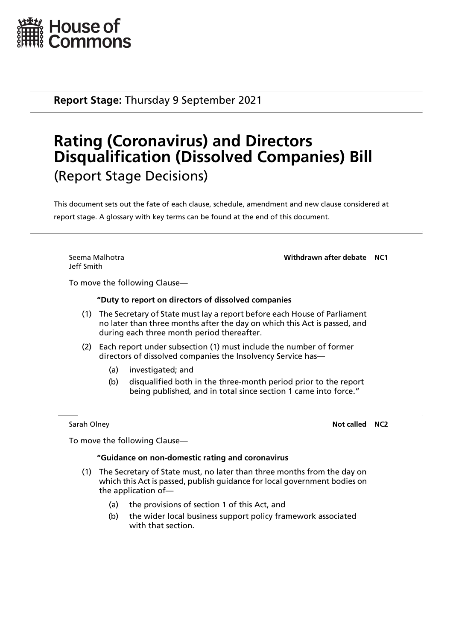

**Report Stage:** Thursday 9 September 2021

## **Rating (Coronavirus) and Directors Disqualification (Dissolved Companies) Bill** (Report Stage Decisions)

This document sets out the fate of each clause, schedule, amendment and new clause considered at report stage. A glossary with key terms can be found at the end of this document.

Jeff Smith

Seema Malhotra **Withdrawn after debate NC1**

To move the following Clause—

## **"Duty to report on directors of dissolved companies**

- (1) The Secretary of State must lay a report before each House of Parliament no later than three months after the day on which this Act is passed, and during each three month period thereafter.
- (2) Each report under subsection (1) must include the number of former directors of dissolved companies the Insolvency Service has—
	- (a) investigated; and
	- (b) disqualified both in the three-month period prior to the report being published, and in total since section 1 came into force."

**Sarah Olney <b>Not called NC2 Not called NC2** 

To move the following Clause—

## **"Guidance on non-domestic rating and coronavirus**

- (1) The Secretary of State must, no later than three months from the day on which this Act is passed, publish guidance for local government bodies on the application of—
	- (a) the provisions of section 1 of this Act, and
	- (b) the wider local business support policy framework associated with that section.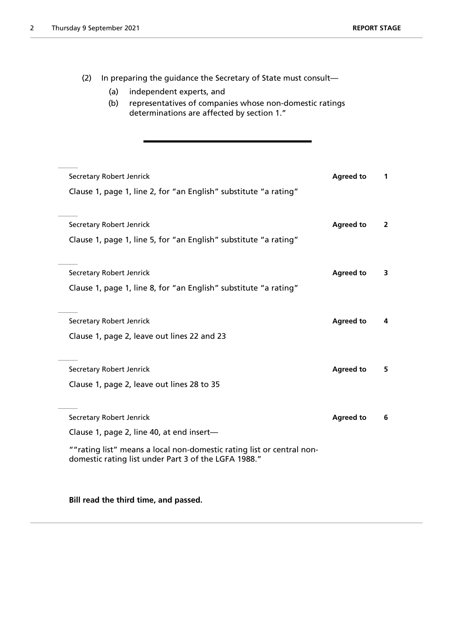(2) In preparing the guidance the Secretary of State must consult— (a) independent experts, and (b) representatives of companies whose non-domestic ratings determinations are affected by section 1." **Secretary Robert Jenrick Agreed to 1 Agreed to 1 Agreed to 1** Clause 1, page 1, line 2, for "an English" substitute "a rating" **Secretary Robert Jenrick Agreed to 2 Agreed to 2** Clause 1, page 1, line 5, for "an English" substitute "a rating" **Secretary Robert Jenrick Agreed to 3 Agreed to 3** Clause 1, page 1, line 8, for "an English" substitute "a rating" **Secretary Robert Jenrick Agreed to 4** Clause 1, page 2, leave out lines 22 and 23 **Secretary Robert Jenrick Agreed to Agreed to 5** Clause 1, page 2, leave out lines 28 to 35 Secretary Robert Jenrick **Agreed to 6** and 3<sup>6</sup> and 3<sup>6</sup> and 3<sup>6</sup> and 3<sup>6</sup> and 3<sup>6</sup> and 3<sup>6</sup> and 3<sup>6</sup> and 3<sup>6</sup> and 3<sup>6</sup> and 3<sup>6</sup> and 3<sup>6</sup> and 3<sup>6</sup> and 3<sup>6</sup> and 3<sup>6</sup> and 3<sup>6</sup> and 3<sup>6</sup> and 3<sup>6</sup> and 36<sup>°</sup> Clause 1, page 2, line 40, at end insert— ""rating list" means a local non-domestic rating list or central nondomestic rating list under Part 3 of the LGFA 1988."

**Bill read the third time, and passed.**